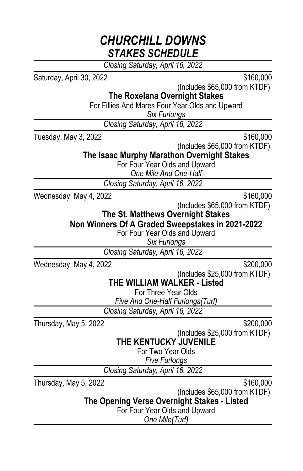*Closing Saturday, April 16, 2022*

Saturday, April 30, 2022 \$160,000

(Includes \$65,000 from KTDF)

**The Roxelana Overnight Stakes**

For Fillies And Mares Four Year Olds and Upward

*Six Furlongs*

*Closing Saturday, April 16, 2022*

Tuesday, May 3, 2022 \$160,000

(Includes \$65,000 from KTDF)

**The Isaac Murphy Marathon Overnight Stakes**

For Four Year Olds and Upward

*One Mile And One-Half*

*Closing Saturday, April 16, 2022*

Wednesday, May 4, 2022 \$160,000

(Includes \$65,000 from KTDF)

**The St. Matthews Overnight Stakes**

**Non Winners Of A Graded Sweepstakes in 2021-2022**

For Four Year Olds and Upward

*Six Furlongs*

*Closing Saturday, April 16, 2022*

Wednesday, May 4, 2022 \$200,000

(Includes \$25,000 from KTDF)

**THE WILLIAM WALKER - Listed**

For Three Year Olds

*Five And One-Half Furlongs(Turf)*

*Closing Saturday, April 16, 2022*

Thursday, May 5, 2022 **\$200,000** 

(Includes \$25,000 from KTDF)

**THE KENTUCKY JUVENILE**

For Two Year Olds

*Five Furlongs*

*Closing Saturday, April 16, 2022*

Thursday, May 5, 2022 **\$160,000** 

(Includes \$65,000 from KTDF)

**The Opening Verse Overnight Stakes - Listed**

For Four Year Olds and Upward

*One Mile(Turf)*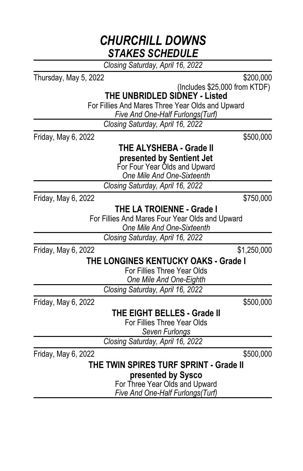*Closing Saturday, April 16, 2022*

Thursday, May 5, 2022 **\$200,000** 

(Includes \$25,000 from KTDF)

**THE UNBRIDLED SIDNEY - Listed**

For Fillies And Mares Three Year Olds and Upward

*Five And One-Half Furlongs(Turf)*

*Closing Saturday, April 16, 2022*

Friday, May 6, 2022 **\$500,000** 

#### **THE ALYSHEBA - Grade II presented by Sentient Jet**

For Four Year Olds and Upward

*One Mile And One-Sixteenth*

*Closing Saturday, April 16, 2022*

Friday, May 6, 2022 **\$750,000** 

**THE LA TROIENNE - Grade I**

For Fillies And Mares Four Year Olds and Upward

*One Mile And One-Sixteenth*

*Closing Saturday, April 16, 2022*

Friday, May 6, 2022 **\$1,250,000** 

### **THE LONGINES KENTUCKY OAKS - Grade I**

For Fillies Three Year Olds

*One Mile And One-Eighth*

*Closing Saturday, April 16, 2022*

Friday, May 6, 2022 **\$500,000** 

**THE EIGHT BELLES - Grade II**

For Fillies Three Year Olds *Seven Furlongs*

*Closing Saturday, April 16, 2022*

Friday, May 6, 2022 **\$500,000** 

#### **THE TWIN SPIRES TURF SPRINT - Grade II presented by Sysco**

For Three Year Olds and Upward *Five And One-Half Furlongs(Turf)*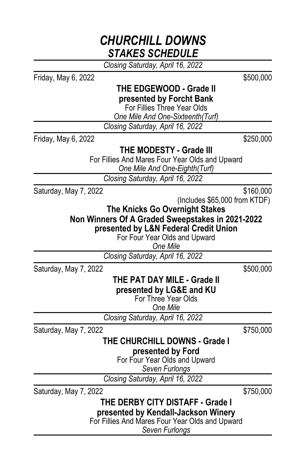*Closing Saturday, April 16, 2022*

Friday, May 6, 2022 **\$500,000 THE EDGEWOOD - Grade II presented by Forcht Bank** For Fillies Three Year Olds *One Mile And One-Sixteenth(Turf) Closing Saturday, April 16, 2022* Friday, May 6, 2022 \$250,000 **THE MODESTY - Grade III** For Fillies And Mares Four Year Olds and Upward *One Mile And One-Eighth(Turf) Closing Saturday, April 16, 2022* Saturday, May 7, 2022 **\$160,000** (Includes \$65,000 from KTDF) **The Knicks Go Overnight Stakes Non Winners Of A Graded Sweepstakes in 2021-2022 presented by L&N Federal Credit Union** For Four Year Olds and Upward *One Mile Closing Saturday, April 16, 2022* Saturday, May 7, 2022 \$500,000 **THE PAT DAY MILE - Grade II presented by LG&E and KU** For Three Year Olds *One Mile Closing Saturday, April 16, 2022* Saturday, May 7, 2022  $$750,000$ **THE CHURCHILL DOWNS - Grade I presented by Ford** For Four Year Olds and Upward *Seven Furlongs Closing Saturday, April 16, 2022* Saturday, May 7, 2022  $$750,000$ **THE DERBY CITY DISTAFF - Grade I presented by Kendall-Jackson Winery** For Fillies And Mares Four Year Olds and Upward

*Seven Furlongs*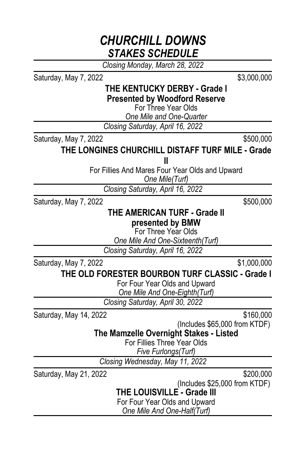*Closing Monday, March 28, 2022*

Saturday, May 7, 2022 \$3,000,000

#### **THE KENTUCKY DERBY - Grade I Presented by Woodford Reserve**

For Three Year Olds

*One Mile and One-Quarter*

*Closing Saturday, April 16, 2022*

Saturday, May 7, 2022  $$500,000$ 

#### **THE LONGINES CHURCHILL DISTAFF TURF MILE - Grade II**

For Fillies And Mares Four Year Olds and Upward

*One Mile(Turf)*

*Closing Saturday, April 16, 2022*

Saturday, May 7, 2022  $$500,000$ 

#### **THE AMERICAN TURF - Grade II presented by BMW**

For Three Year Olds

*One Mile And One-Sixteenth(Turf)*

*Closing Saturday, April 16, 2022*

Saturday, May 7, 2022  $$1,000,000$ 

### **THE OLD FORESTER BOURBON TURF CLASSIC - Grade I**

For Four Year Olds and Upward *One Mile And One-Eighth(Turf)*

*Closing Saturday, April 30, 2022*

Saturday, May 14, 2022 **\$160,000** 

(Includes \$65,000 from KTDF)

**The Mamzelle Overnight Stakes - Listed**

For Fillies Three Year Olds

*Five Furlongs(Turf)*

*Closing Wednesday, May 11, 2022*

Saturday, May 21, 2022 \$200,000

(Includes \$25,000 from KTDF)

**THE LOUISVILLE - Grade III**

For Four Year Olds and Upward *One Mile And One-Half(Turf)*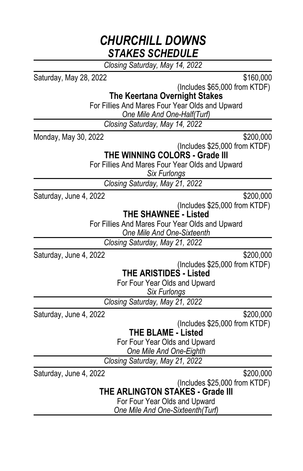*Closing Saturday, May 14, 2022*

Saturday, May 28, 2022 \$160,000

(Includes \$65,000 from KTDF)

**The Keertana Overnight Stakes**

For Fillies And Mares Four Year Olds and Upward

*One Mile And One-Half(Turf)*

*Closing Saturday, May 14, 2022*

Monday, May 30, 2022 \$200,000

(Includes \$25,000 from KTDF)

**THE WINNING COLORS - Grade III**

For Fillies And Mares Four Year Olds and Upward

*Six Furlongs*

*Closing Saturday, May 21, 2022*

Saturday, June 4, 2022 \$200,000

(Includes \$25,000 from KTDF)

**THE SHAWNEE - Listed**

For Fillies And Mares Four Year Olds and Upward *One Mile And One-Sixteenth*

*Closing Saturday, May 21, 2022*

Saturday, June 4, 2022 **\$200,000** 

(Includes \$25,000 from KTDF)

**THE ARISTIDES - Listed**

For Four Year Olds and Upward

*Six Furlongs*

*Closing Saturday, May 21, 2022*

Saturday, June 4, 2022 **\$200,000** 

(Includes \$25,000 from KTDF)

**THE BLAME - Listed**

For Four Year Olds and Upward

*One Mile And One-Eighth*

*Closing Saturday, May 21, 2022*

Saturday, June 4, 2022 \$200,000

(Includes \$25,000 from KTDF)

**THE ARLINGTON STAKES - Grade III**

For Four Year Olds and Upward *One Mile And One-Sixteenth(Turf)*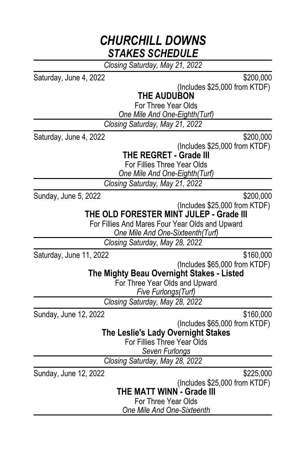*Closing Saturday, May 21, 2022*

Saturday, June 4, 2022 **\$200,000** 

(Includes \$25,000 from KTDF)

#### **THE AUDUBON**

For Three Year Olds

*One Mile And One-Eighth(Turf)*

*Closing Saturday, May 21, 2022*

Saturday, June 4, 2022 **\$200,000** 

(Includes \$25,000 from KTDF)

**THE REGRET - Grade III**

For Fillies Three Year Olds

*One Mile And One-Eighth(Turf)*

*Closing Saturday, May 21, 2022*

Sunday, June 5, 2022  $$200,000$ 

(Includes \$25,000 from KTDF)

**THE OLD FORESTER MINT JULEP - Grade III**

For Fillies And Mares Four Year Olds and Upward *One Mile And One-Sixteenth(Turf)*

*Closing Saturday, May 28, 2022*

Saturday, June 11, 2022 \$160,000

(Includes \$65,000 from KTDF)

**The Mighty Beau Overnight Stakes - Listed**

For Three Year Olds and Upward

*Five Furlongs(Turf)*

*Closing Saturday, May 28, 2022*

Sunday, June 12, 2022 \$160,000

(Includes \$65,000 from KTDF)

**The Leslie's Lady Overnight Stakes**

For Fillies Three Year Olds

*Seven Furlongs*

*Closing Saturday, May 28, 2022*

Sunday, June 12, 2022 \$225,000

(Includes \$25,000 from KTDF)

**THE MATT WINN - Grade III**

For Three Year Olds

*One Mile And One-Sixteenth*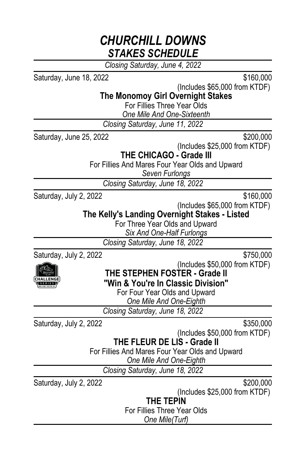*Closing Saturday, June 4, 2022*

Saturday, June 18, 2022 **\$160,000** 

(Includes \$65,000 from KTDF)

**The Monomoy Girl Overnight Stakes**

For Fillies Three Year Olds

*One Mile And One-Sixteenth*

*Closing Saturday, June 11, 2022*

Saturday, June 25, 2022 \$200,000

(Includes \$25,000 from KTDF)

**THE CHICAGO - Grade III**

For Fillies And Mares Four Year Olds and Upward

*Seven Furlongs*

*Closing Saturday, June 18, 2022*

Saturday, July 2, 2022  $$160,000$ 

(Includes \$65,000 from KTDF)

**The Kelly's Landing Overnight Stakes - Listed**

For Three Year Olds and Upward

*Six And One-Half Furlongs*

*Closing Saturday, June 18, 2022*

Saturday, July 2, 2022  $$750,000$ 



(Includes \$50,000 from KTDF)

**THE STEPHEN FOSTER - Grade II**

**"Win & You're In Classic Division"**

For Four Year Olds and Upward

*One Mile And One-Eighth*

*Closing Saturday, June 18, 2022*

Saturday, July 2, 2022  $$350,000$ 

(Includes \$50,000 from KTDF)

#### **THE FLEUR DE LIS - Grade II**

For Fillies And Mares Four Year Olds and Upward

*One Mile And One-Eighth*

*Closing Saturday, June 18, 2022*

Saturday, July 2, 2022  $$200,000$ 

(Includes \$25,000 from KTDF)

**THE TEPIN**

For Fillies Three Year Olds

*One Mile(Turf)*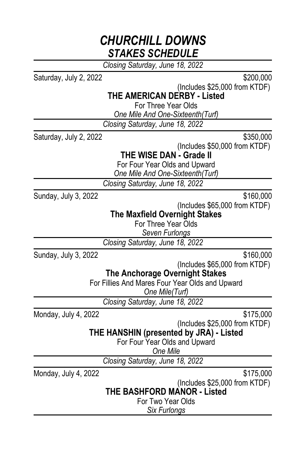*Closing Saturday, June 18, 2022*

Saturday, July 2, 2022 \$200,000

(Includes \$25,000 from KTDF)

### **THE AMERICAN DERBY - Listed**

For Three Year Olds

*One Mile And One-Sixteenth(Turf)*

*Closing Saturday, June 18, 2022*

Saturday, July 2, 2022 \$350.000

(Includes \$50,000 from KTDF)

**THE WISE DAN - Grade II**

For Four Year Olds and Upward *One Mile And One-Sixteenth(Turf)*

*Closing Saturday, June 18, 2022*

Sunday, July 3, 2022  $$160,000$ 

(Includes \$65,000 from KTDF)

#### **The Maxfield Overnight Stakes**

For Three Year Olds

*Seven Furlongs*

*Closing Saturday, June 18, 2022*

Sunday, July 3, 2022  $$160,000$ 

(Includes \$65,000 from KTDF)

**The Anchorage Overnight Stakes**

For Fillies And Mares Four Year Olds and Upward

*One Mile(Turf)*

*Closing Saturday, June 18, 2022*

Monday, July 4, 2022 **\$175,000** 

(Includes \$25,000 from KTDF)

**THE HANSHIN (presented by JRA) - Listed**

For Four Year Olds and Upward

*One Mile*

*Closing Saturday, June 18, 2022*

Monday, July 4, 2022 \$175,000

(Includes \$25,000 from KTDF)

**THE BASHFORD MANOR - Listed**

For Two Year Olds

*Six Furlongs*